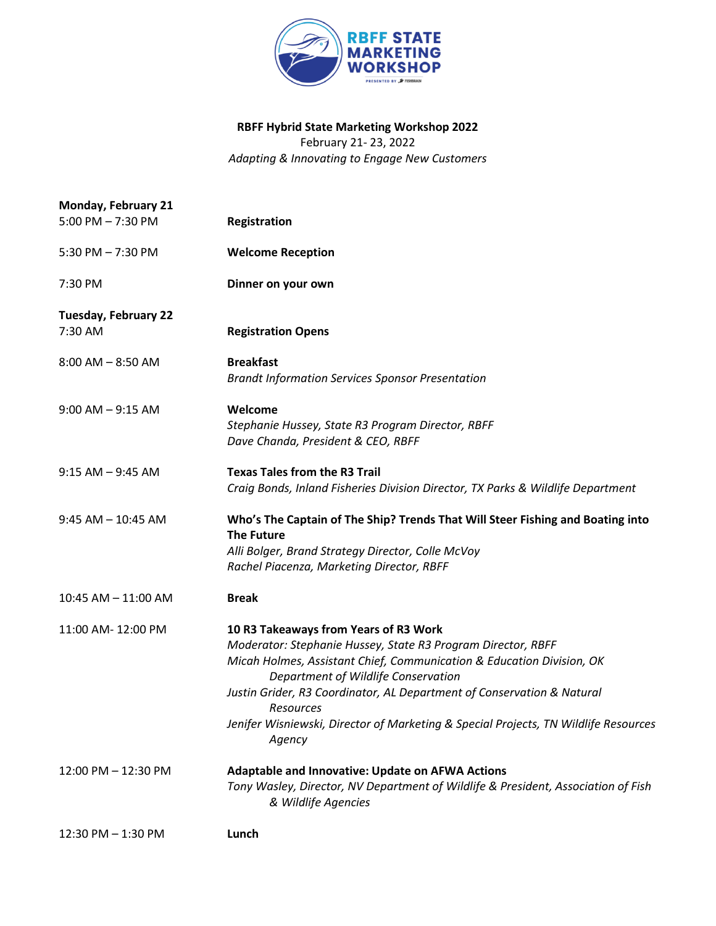

## **RBFF Hybrid State Marketing Workshop 2022**  February 21- 23, 2022

*Adapting & Innovating to Engage New Customers* 

| Monday, February 21                    |                                                                                                                                                                                                                                                                                                                                                                                                               |
|----------------------------------------|---------------------------------------------------------------------------------------------------------------------------------------------------------------------------------------------------------------------------------------------------------------------------------------------------------------------------------------------------------------------------------------------------------------|
| $5:00$ PM $- 7:30$ PM                  | Registration                                                                                                                                                                                                                                                                                                                                                                                                  |
| 5:30 PM $- 7:30$ PM                    | <b>Welcome Reception</b>                                                                                                                                                                                                                                                                                                                                                                                      |
| 7:30 PM                                | Dinner on your own                                                                                                                                                                                                                                                                                                                                                                                            |
| <b>Tuesday, February 22</b><br>7:30 AM | <b>Registration Opens</b>                                                                                                                                                                                                                                                                                                                                                                                     |
| $8:00$ AM $-$ 8:50 AM                  | <b>Breakfast</b><br><b>Brandt Information Services Sponsor Presentation</b>                                                                                                                                                                                                                                                                                                                                   |
| $9:00$ AM $-$ 9:15 AM                  | Welcome<br>Stephanie Hussey, State R3 Program Director, RBFF<br>Dave Chanda, President & CEO, RBFF                                                                                                                                                                                                                                                                                                            |
| $9:15 AM - 9:45 AM$                    | <b>Texas Tales from the R3 Trail</b><br>Craig Bonds, Inland Fisheries Division Director, TX Parks & Wildlife Department                                                                                                                                                                                                                                                                                       |
| $9:45$ AM $-$ 10:45 AM                 | Who's The Captain of The Ship? Trends That Will Steer Fishing and Boating into<br><b>The Future</b><br>Alli Bolger, Brand Strategy Director, Colle McVoy<br>Rachel Piacenza, Marketing Director, RBFF                                                                                                                                                                                                         |
| 10:45 AM - 11:00 AM                    | <b>Break</b>                                                                                                                                                                                                                                                                                                                                                                                                  |
| 11:00 AM-12:00 PM                      | 10 R3 Takeaways from Years of R3 Work<br>Moderator: Stephanie Hussey, State R3 Program Director, RBFF<br>Micah Holmes, Assistant Chief, Communication & Education Division, OK<br>Department of Wildlife Conservation<br>Justin Grider, R3 Coordinator, AL Department of Conservation & Natural<br>Resources<br>Jenifer Wisniewski, Director of Marketing & Special Projects, TN Wildlife Resources<br>Agency |
| 12:00 PM - 12:30 PM                    | Adaptable and Innovative: Update on AFWA Actions<br>Tony Wasley, Director, NV Department of Wildlife & President, Association of Fish<br>& Wildlife Agencies                                                                                                                                                                                                                                                  |
| 12:30 PM - 1:30 PM                     | Lunch                                                                                                                                                                                                                                                                                                                                                                                                         |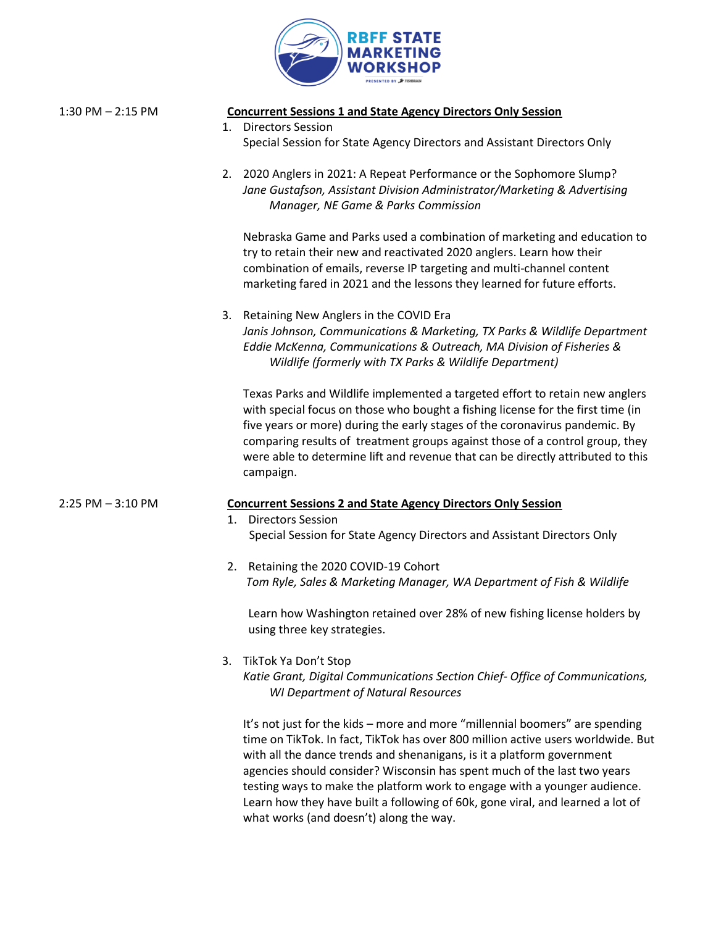

| $1:30$ PM $- 2:15$ PM | <b>Concurrent Sessions 1 and State Agency Directors Only Session</b><br>1. Directors Session<br>Special Session for State Agency Directors and Assistant Directors Only                                                                                                                                                                                                                                                                                                               |
|-----------------------|---------------------------------------------------------------------------------------------------------------------------------------------------------------------------------------------------------------------------------------------------------------------------------------------------------------------------------------------------------------------------------------------------------------------------------------------------------------------------------------|
|                       | 2. 2020 Anglers in 2021: A Repeat Performance or the Sophomore Slump?<br>Jane Gustafson, Assistant Division Administrator/Marketing & Advertising<br>Manager, NE Game & Parks Commission                                                                                                                                                                                                                                                                                              |
|                       | Nebraska Game and Parks used a combination of marketing and education to<br>try to retain their new and reactivated 2020 anglers. Learn how their<br>combination of emails, reverse IP targeting and multi-channel content<br>marketing fared in 2021 and the lessons they learned for future efforts.                                                                                                                                                                                |
|                       | 3. Retaining New Anglers in the COVID Era<br>Janis Johnson, Communications & Marketing, TX Parks & Wildlife Department<br>Eddie McKenna, Communications & Outreach, MA Division of Fisheries &<br>Wildlife (formerly with TX Parks & Wildlife Department)                                                                                                                                                                                                                             |
|                       | Texas Parks and Wildlife implemented a targeted effort to retain new anglers<br>with special focus on those who bought a fishing license for the first time (in<br>five years or more) during the early stages of the coronavirus pandemic. By<br>comparing results of treatment groups against those of a control group, they<br>were able to determine lift and revenue that can be directly attributed to this<br>campaign.                                                        |
| $2:25$ PM $-3:10$ PM  | <b>Concurrent Sessions 2 and State Agency Directors Only Session</b>                                                                                                                                                                                                                                                                                                                                                                                                                  |
|                       | <b>Directors Session</b><br>1.                                                                                                                                                                                                                                                                                                                                                                                                                                                        |
|                       | Special Session for State Agency Directors and Assistant Directors Only                                                                                                                                                                                                                                                                                                                                                                                                               |
|                       | 2. Retaining the 2020 COVID-19 Cohort<br>Tom Ryle, Sales & Marketing Manager, WA Department of Fish & Wildlife                                                                                                                                                                                                                                                                                                                                                                        |
|                       | Learn how Washington retained over 28% of new fishing license holders by<br>using three key strategies.                                                                                                                                                                                                                                                                                                                                                                               |
|                       | TikTok Ya Don't Stop<br>3.<br>Katie Grant, Digital Communications Section Chief- Office of Communications,<br><b>WI Department of Natural Resources</b>                                                                                                                                                                                                                                                                                                                               |
|                       | It's not just for the kids - more and more "millennial boomers" are spending<br>time on TikTok. In fact, TikTok has over 800 million active users worldwide. But<br>with all the dance trends and shenanigans, is it a platform government<br>agencies should consider? Wisconsin has spent much of the last two years<br>testing ways to make the platform work to engage with a younger audience.<br>Learn how they have built a following of 60k, gone viral, and learned a lot of |

what works (and doesn't) along the way.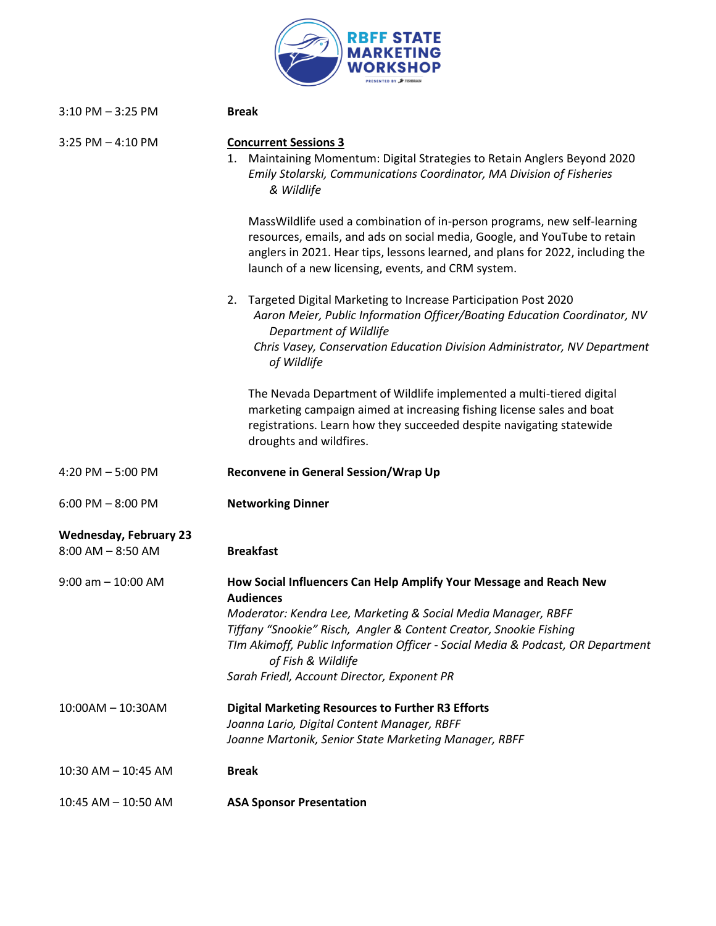

| $3:10$ PM $-3:25$ PM                                   | <b>Break</b>                                                                                                                                                                                                                                                                                                                                                                          |
|--------------------------------------------------------|---------------------------------------------------------------------------------------------------------------------------------------------------------------------------------------------------------------------------------------------------------------------------------------------------------------------------------------------------------------------------------------|
| $3:25$ PM $-4:10$ PM                                   | <b>Concurrent Sessions 3</b><br>Maintaining Momentum: Digital Strategies to Retain Anglers Beyond 2020<br>1.<br>Emily Stolarski, Communications Coordinator, MA Division of Fisheries<br>& Wildlife                                                                                                                                                                                   |
|                                                        | MassWildlife used a combination of in-person programs, new self-learning<br>resources, emails, and ads on social media, Google, and YouTube to retain<br>anglers in 2021. Hear tips, lessons learned, and plans for 2022, including the<br>launch of a new licensing, events, and CRM system.                                                                                         |
|                                                        | Targeted Digital Marketing to Increase Participation Post 2020<br>2.<br>Aaron Meier, Public Information Officer/Boating Education Coordinator, NV<br>Department of Wildlife<br>Chris Vasey, Conservation Education Division Administrator, NV Department<br>of Wildlife                                                                                                               |
|                                                        | The Nevada Department of Wildlife implemented a multi-tiered digital<br>marketing campaign aimed at increasing fishing license sales and boat<br>registrations. Learn how they succeeded despite navigating statewide<br>droughts and wildfires.                                                                                                                                      |
| 4:20 PM $-5:00$ PM                                     | Reconvene in General Session/Wrap Up                                                                                                                                                                                                                                                                                                                                                  |
| $6:00$ PM $-8:00$ PM                                   | <b>Networking Dinner</b>                                                                                                                                                                                                                                                                                                                                                              |
| <b>Wednesday, February 23</b><br>$8:00$ AM $-$ 8:50 AM | <b>Breakfast</b>                                                                                                                                                                                                                                                                                                                                                                      |
| $9:00$ am $-10:00$ AM                                  | How Social Influencers Can Help Amplify Your Message and Reach New<br><b>Audiences</b><br>Moderator: Kendra Lee, Marketing & Social Media Manager, RBFF<br>Tiffany "Snookie" Risch, Angler & Content Creator, Snookie Fishing<br>TIm Akimoff, Public Information Officer - Social Media & Podcast, OR Department<br>of Fish & Wildlife<br>Sarah Friedl, Account Director, Exponent PR |
| $10:00AM - 10:30AM$                                    | <b>Digital Marketing Resources to Further R3 Efforts</b><br>Joanna Lario, Digital Content Manager, RBFF<br>Joanne Martonik, Senior State Marketing Manager, RBFF                                                                                                                                                                                                                      |
| 10:30 AM - 10:45 AM                                    | <b>Break</b>                                                                                                                                                                                                                                                                                                                                                                          |
| 10:45 AM - 10:50 AM                                    | <b>ASA Sponsor Presentation</b>                                                                                                                                                                                                                                                                                                                                                       |